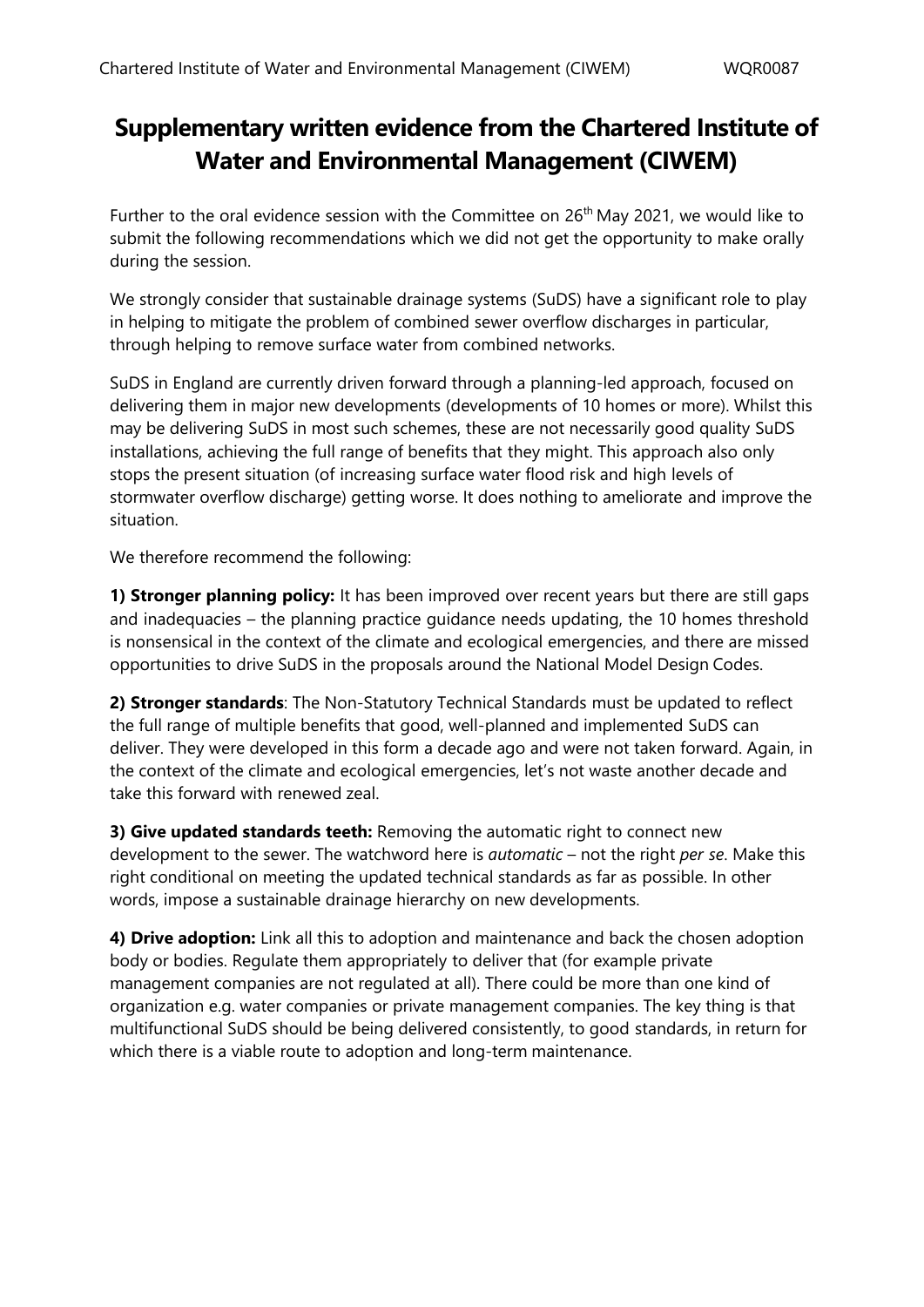## **Supplementary written evidence from the Chartered Institute of Water and Environmental Management (CIWEM)**

Further to the oral evidence session with the Committee on  $26<sup>th</sup>$  May 2021, we would like to submit the following recommendations which we did not get the opportunity to make orally during the session.

We strongly consider that sustainable drainage systems (SuDS) have a significant role to play in helping to mitigate the problem of combined sewer overflow discharges in particular, through helping to remove surface water from combined networks.

SuDS in England are currently driven forward through a planning-led approach, focused on delivering them in major new developments (developments of 10 homes or more). Whilst this may be delivering SuDS in most such schemes, these are not necessarily good quality SuDS installations, achieving the full range of benefits that they might. This approach also only stops the present situation (of increasing surface water flood risk and high levels of stormwater overflow discharge) getting worse. It does nothing to ameliorate and improve the situation.

We therefore recommend the following:

**1) Stronger planning policy:** It has been improved over recent years but there are still gaps and inadequacies – the planning practice guidance needs updating, the 10 homes threshold is nonsensical in the context of the climate and ecological emergencies, and there are missed opportunities to drive SuDS in the proposals around the National Model Design Codes.

**2) Stronger standards**: The Non-Statutory Technical Standards must be updated to reflect the full range of multiple benefits that good, well-planned and implemented SuDS can deliver. They were developed in this form a decade ago and were not taken forward. Again, in the context of the climate and ecological emergencies, let's not waste another decade and take this forward with renewed zeal.

**3) Give updated standards teeth:** Removing the automatic right to connect new development to the sewer. The watchword here is *automatic* – not the right *per se*. Make this right conditional on meeting the updated technical standards as far as possible. In other words, impose a sustainable drainage hierarchy on new developments.

**4) Drive adoption:** Link all this to adoption and maintenance and back the chosen adoption body or bodies. Regulate them appropriately to deliver that (for example private management companies are not regulated at all). There could be more than one kind of organization e.g. water companies or private management companies. The key thing is that multifunctional SuDS should be being delivered consistently, to good standards, in return for which there is a viable route to adoption and long-term maintenance.